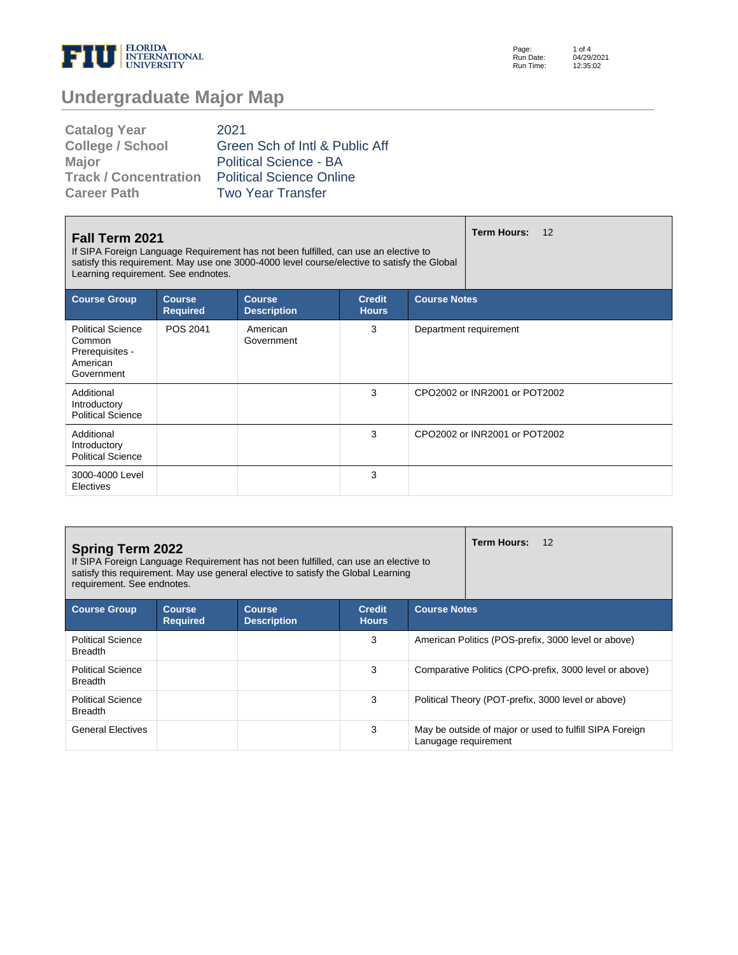

Page: Run Date: Run Time: 1 of 4 04/29/2021 12:35:02

## **Undergraduate Major Map**

| <b>Catalog Year</b>          | 2021                            |
|------------------------------|---------------------------------|
| <b>College / School</b>      | Green Sch of Intl & Public Aff  |
| Major                        | <b>Political Science - BA</b>   |
| <b>Track / Concentration</b> | <b>Political Science Online</b> |
| <b>Career Path</b>           | <b>Two Year Transfer</b>        |

| Fall Term 2021<br>If SIPA Foreign Language Requirement has not been fulfilled, can use an elective to<br>satisfy this requirement. May use one 3000-4000 level course/elective to satisfy the Global<br>Learning requirement. See endnotes. |          |                        |   |                               | Term Hours:<br>12 |
|---------------------------------------------------------------------------------------------------------------------------------------------------------------------------------------------------------------------------------------------|----------|------------------------|---|-------------------------------|-------------------|
| <b>Course Group</b><br><b>Course Notes</b><br><b>Course</b><br><b>Credit</b><br><b>Course</b><br><b>Hours</b><br><b>Required</b><br><b>Description</b>                                                                                      |          |                        |   |                               |                   |
| <b>Political Science</b><br>Common<br>Prerequisites -<br>American<br>Government                                                                                                                                                             | POS 2041 | American<br>Government | 3 | Department requirement        |                   |
| Additional<br>Introductory<br><b>Political Science</b>                                                                                                                                                                                      |          |                        | 3 | CPO2002 or INR2001 or POT2002 |                   |
| Additional<br>Introductory<br><b>Political Science</b>                                                                                                                                                                                      |          |                        | 3 | CPO2002 or INR2001 or POT2002 |                   |
| 3000-4000 Level<br>Electives                                                                                                                                                                                                                |          |                        | 3 |                               |                   |

| <b>Spring Term 2022</b><br>requirement. See endnotes. |                                  | If SIPA Foreign Language Requirement has not been fulfilled, can use an elective to<br>satisfy this requirement. May use general elective to satisfy the Global Learning |                               |                                                        | <b>Term Hours:</b><br>12                                |  |
|-------------------------------------------------------|----------------------------------|--------------------------------------------------------------------------------------------------------------------------------------------------------------------------|-------------------------------|--------------------------------------------------------|---------------------------------------------------------|--|
| <b>Course Group</b>                                   | <b>Course</b><br><b>Required</b> | <b>Course</b><br><b>Description</b>                                                                                                                                      | <b>Credit</b><br><b>Hours</b> | <b>Course Notes</b>                                    |                                                         |  |
| <b>Political Science</b><br><b>Breadth</b>            |                                  |                                                                                                                                                                          | 3                             | American Politics (POS-prefix, 3000 level or above)    |                                                         |  |
| <b>Political Science</b><br><b>Breadth</b>            |                                  |                                                                                                                                                                          | 3                             | Comparative Politics (CPO-prefix, 3000 level or above) |                                                         |  |
| <b>Political Science</b><br><b>Breadth</b>            |                                  |                                                                                                                                                                          | 3                             |                                                        | Political Theory (POT-prefix, 3000 level or above)      |  |
| <b>General Electives</b>                              |                                  |                                                                                                                                                                          | 3                             | Lanugage requirement                                   | May be outside of major or used to fulfill SIPA Foreign |  |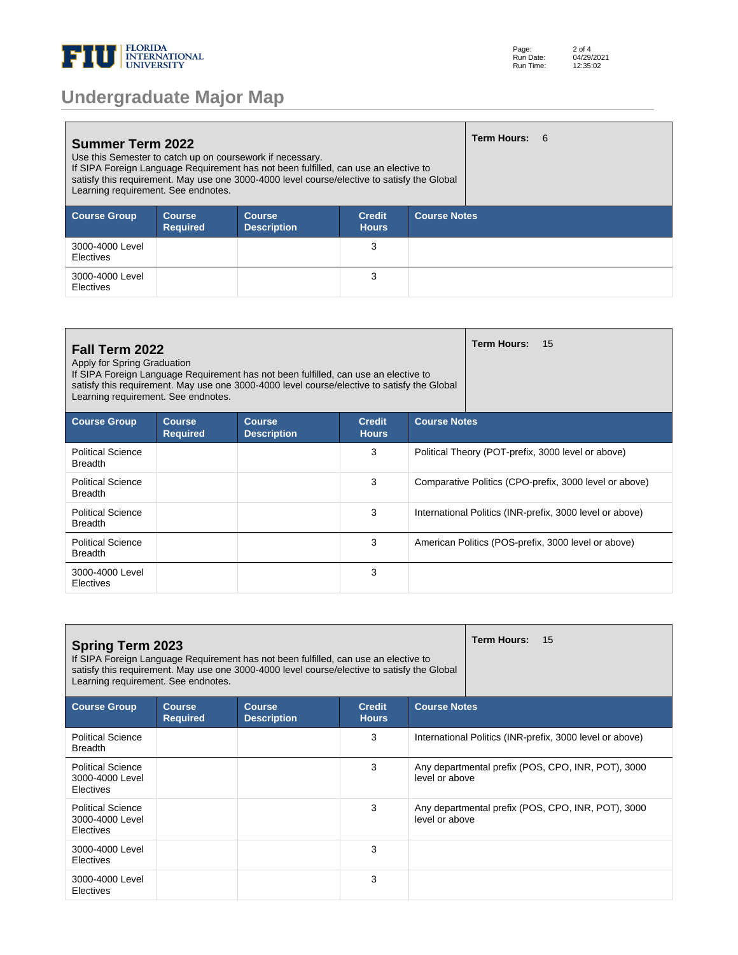

| <b>Undergraduate Major Map</b> |  |  |
|--------------------------------|--|--|
|--------------------------------|--|--|

| <b>Summer Term 2022</b><br>Use this Semester to catch up on coursework if necessary.<br>If SIPA Foreign Language Requirement has not been fulfilled, can use an elective to<br>satisfy this requirement. May use one 3000-4000 level course/elective to satisfy the Global<br>Learning requirement. See endnotes. |                                  |                                     |                               | Term Hours: 6       |  |  |
|-------------------------------------------------------------------------------------------------------------------------------------------------------------------------------------------------------------------------------------------------------------------------------------------------------------------|----------------------------------|-------------------------------------|-------------------------------|---------------------|--|--|
| <b>Course Group</b>                                                                                                                                                                                                                                                                                               | <b>Course</b><br><b>Required</b> | <b>Course</b><br><b>Description</b> | <b>Credit</b><br><b>Hours</b> | <b>Course Notes</b> |  |  |
| 3000-4000 Level<br>Electives                                                                                                                                                                                                                                                                                      |                                  |                                     | 3                             |                     |  |  |
| 3000-4000 Level<br>Electives                                                                                                                                                                                                                                                                                      |                                  |                                     | 3                             |                     |  |  |

| Fall Term 2022<br>Apply for Spring Graduation<br>Learning requirement. See endnotes. |                                  | If SIPA Foreign Language Requirement has not been fulfilled, can use an elective to<br>satisfy this requirement. May use one 3000-4000 level course/elective to satisfy the Global |                               | <b>Term Hours:</b><br>15                                 |  |
|--------------------------------------------------------------------------------------|----------------------------------|------------------------------------------------------------------------------------------------------------------------------------------------------------------------------------|-------------------------------|----------------------------------------------------------|--|
| <b>Course Group</b>                                                                  | <b>Course</b><br><b>Required</b> | <b>Course</b><br><b>Description</b>                                                                                                                                                | <b>Credit</b><br><b>Hours</b> | <b>Course Notes</b>                                      |  |
| <b>Political Science</b><br><b>Breadth</b>                                           |                                  |                                                                                                                                                                                    | 3                             | Political Theory (POT-prefix, 3000 level or above)       |  |
| <b>Political Science</b><br><b>Breadth</b>                                           |                                  |                                                                                                                                                                                    | 3                             | Comparative Politics (CPO-prefix, 3000 level or above)   |  |
| <b>Political Science</b><br><b>Breadth</b>                                           |                                  |                                                                                                                                                                                    | 3                             | International Politics (INR-prefix, 3000 level or above) |  |
| <b>Political Science</b><br><b>Breadth</b>                                           |                                  |                                                                                                                                                                                    | 3                             | American Politics (POS-prefix, 3000 level or above)      |  |
| 3000-4000 Level<br>Electives                                                         |                                  |                                                                                                                                                                                    | 3                             |                                                          |  |

| <b>Spring Term 2023</b><br>If SIPA Foreign Language Requirement has not been fulfilled, can use an elective to<br>satisfy this requirement. May use one 3000-4000 level course/elective to satisfy the Global<br>Learning requirement. See endnotes. |                                  | <b>Term Hours:</b><br>15            |                               |                                                                      |  |
|------------------------------------------------------------------------------------------------------------------------------------------------------------------------------------------------------------------------------------------------------|----------------------------------|-------------------------------------|-------------------------------|----------------------------------------------------------------------|--|
| <b>Course Group</b>                                                                                                                                                                                                                                  | <b>Course</b><br><b>Required</b> | <b>Course</b><br><b>Description</b> | <b>Credit</b><br><b>Hours</b> | <b>Course Notes</b>                                                  |  |
| <b>Political Science</b><br><b>Breadth</b>                                                                                                                                                                                                           |                                  |                                     | 3                             | International Politics (INR-prefix, 3000 level or above)             |  |
| <b>Political Science</b><br>3000-4000 Level<br><b>Electives</b>                                                                                                                                                                                      |                                  |                                     | 3                             | Any departmental prefix (POS, CPO, INR, POT), 3000<br>level or above |  |
| <b>Political Science</b><br>3000-4000 Level<br><b>Electives</b>                                                                                                                                                                                      |                                  |                                     | 3                             | Any departmental prefix (POS, CPO, INR, POT), 3000<br>level or above |  |
| 3000-4000 Level<br><b>Electives</b>                                                                                                                                                                                                                  |                                  |                                     | 3                             |                                                                      |  |
| 3000-4000 Level<br><b>Electives</b>                                                                                                                                                                                                                  |                                  |                                     | 3                             |                                                                      |  |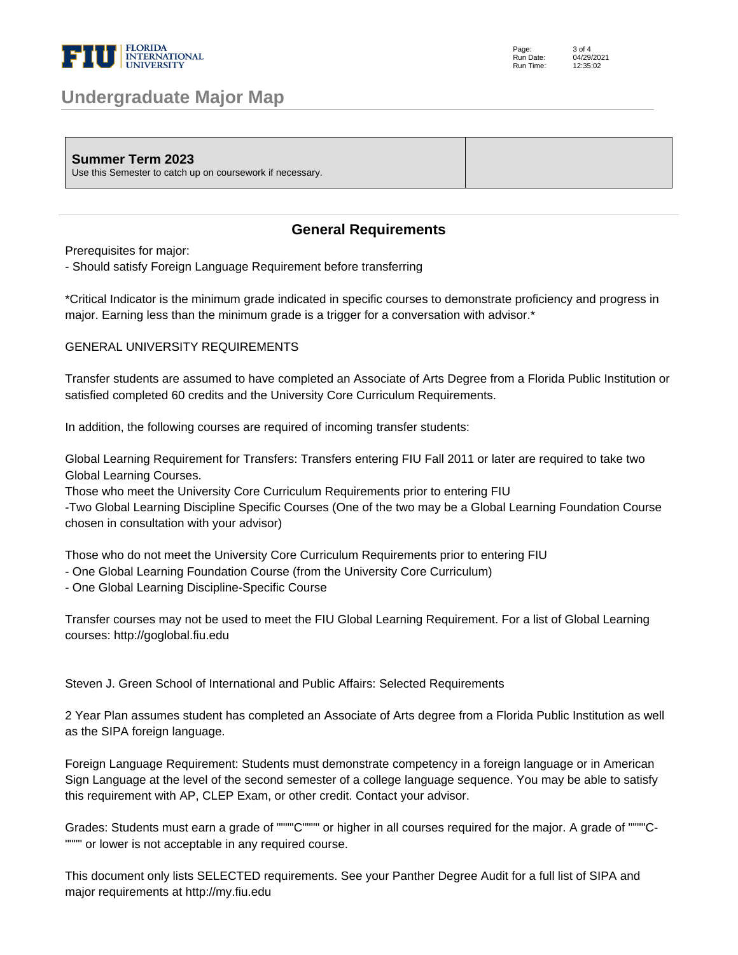

## **Undergraduate Major Map**

| <b>Summer Term 2023</b><br>Use this Semester to catch up on coursework if necessary. |  |
|--------------------------------------------------------------------------------------|--|
|--------------------------------------------------------------------------------------|--|

## **General Requirements**

Prerequisites for major:

- Should satisfy Foreign Language Requirement before transferring

\*Critical Indicator is the minimum grade indicated in specific courses to demonstrate proficiency and progress in major. Earning less than the minimum grade is a trigger for a conversation with advisor.\*

## GENERAL UNIVERSITY REQUIREMENTS

Transfer students are assumed to have completed an Associate of Arts Degree from a Florida Public Institution or satisfied completed 60 credits and the University Core Curriculum Requirements.

In addition, the following courses are required of incoming transfer students:

Global Learning Requirement for Transfers: Transfers entering FIU Fall 2011 or later are required to take two Global Learning Courses.

Those who meet the University Core Curriculum Requirements prior to entering FIU

-Two Global Learning Discipline Specific Courses (One of the two may be a Global Learning Foundation Course chosen in consultation with your advisor)

Those who do not meet the University Core Curriculum Requirements prior to entering FIU

- One Global Learning Foundation Course (from the University Core Curriculum)
- One Global Learning Discipline-Specific Course

Transfer courses may not be used to meet the FIU Global Learning Requirement. For a list of Global Learning courses: http://goglobal.fiu.edu

Steven J. Green School of International and Public Affairs: Selected Requirements

2 Year Plan assumes student has completed an Associate of Arts degree from a Florida Public Institution as well as the SIPA foreign language.

Foreign Language Requirement: Students must demonstrate competency in a foreign language or in American Sign Language at the level of the second semester of a college language sequence. You may be able to satisfy this requirement with AP, CLEP Exam, or other credit. Contact your advisor.

Grades: Students must earn a grade of """"C"""" or higher in all courses required for the major. A grade of """"C- """" or lower is not acceptable in any required course.

This document only lists SELECTED requirements. See your Panther Degree Audit for a full list of SIPA and major requirements at http://my.fiu.edu